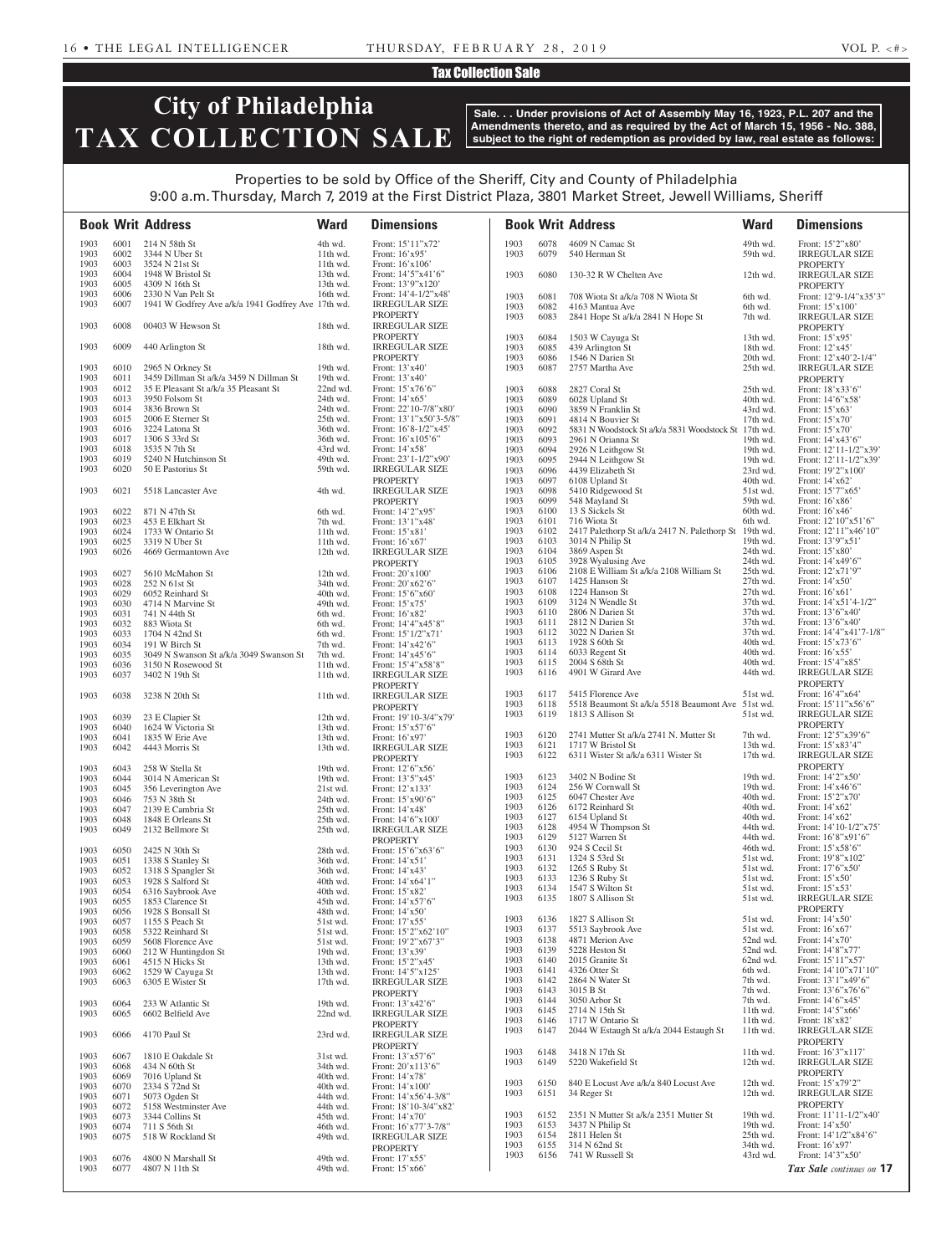### Tax Collection Sale

# **City of Philadelphia TAX COLLECTION SALE**

**Sale. . . Under provisions of Act of Assembly May 16, 1923, P.L. 207 and the Amendments thereto, and as required by the Act of March 15, 1956 - No. 388, subject to the right of redemption as provided by law, real estate as follows:**

## Properties to be sold by Office of the Sheriff, City and County of Philadelphia 9:00 a.m. Thursday, March 7, 2019 at the First District Plaza, 3801 Market Street, Jewell Williams, Sheriff

|              |              | <b>Book Writ Address</b>                                                 | <b>Ward</b>          | <b>Dimensions</b>                                |              |              | <b>Book Writ Address</b>                              | <b>Ward</b>          | <b>Dimensions</b>                          |
|--------------|--------------|--------------------------------------------------------------------------|----------------------|--------------------------------------------------|--------------|--------------|-------------------------------------------------------|----------------------|--------------------------------------------|
| 1903         | 6001         | 214 N 58th St                                                            | 4th wd.              | Front: 15'11"x72'                                | 1903         | 6078         | 4609 N Camac St                                       | 49th wd.             | Front: 15'2"x80'                           |
| 1903         | 6002         | 3344 N Uber St                                                           | 11th wd.             | Front: 16'x95'                                   | 1903         | 6079         | 540 Herman St                                         | 59th wd.             | <b>IRREGULAR SIZE</b>                      |
| 1903         | 6003         | 3524 N 21st St                                                           | $11th$ wd.           | Front: 16'x106'                                  |              |              |                                                       |                      | <b>PROPERTY</b>                            |
| 1903         | 6004         | 1948 W Bristol St                                                        | 13th wd.             | Front: 14'5"x41'6"                               | 1903         | 6080         | 130-32 R W Chelten Ave                                | 12th wd.             | <b>IRREGULAR SIZE</b>                      |
| 1903         | 6005         | 4309 N 16th St                                                           | 13th wd.             | Front: 13'9"x120'                                |              |              |                                                       |                      | <b>PROPERTY</b>                            |
| 1903<br>1903 | 6006<br>6007 | 2330 N Van Pelt St<br>1941 W Godfrey Ave a/k/a 1941 Godfrey Ave 17th wd. | 16th wd.             | Front: $14'4-1/2''x48'$<br><b>IRREGULAR SIZE</b> | 1903         | 6081         | 708 Wiota St a/k/a 708 N Wiota St                     | 6th wd.              | Front: 12'9-1/4"x35'3"                     |
|              |              |                                                                          |                      | <b>PROPERTY</b>                                  | 1903         | 6082         | 4163 Mantua Ave                                       | 6th wd.              | Front: 15'x100'                            |
| 1903         | 6008         | 00403 W Hewson St                                                        | 18th wd.             | <b>IRREGULAR SIZE</b>                            | 1903         | 6083         | 2841 Hope St a/k/a 2841 N Hope St                     | 7th wd.              | <b>IRREGULAR SIZE</b><br><b>PROPERTY</b>   |
|              |              |                                                                          |                      | <b>PROPERTY</b>                                  | 1903         | 6084         | 1503 W Cayuga St                                      | 13th wd.             | Front: 15'x95'                             |
| 1903         | 6009         | 440 Arlington St                                                         | 18th wd.             | <b>IRREGULAR SIZE</b>                            | 1903         | 6085         | 439 Arlington St                                      | 18th wd.             | Front: 12'x45'                             |
|              |              |                                                                          |                      | <b>PROPERTY</b>                                  | 1903         | 6086         | 1546 N Darien St                                      | 20th wd.             | Front: 12'x40'2-1/4"                       |
| 1903         | 6010         | 2965 N Orkney St                                                         | 19th wd.             | Front: 13'x40'                                   | 1903         | 6087         | 2757 Martha Ave                                       | 25th wd.             | <b>IRREGULAR SIZE</b>                      |
| 1903         | 6011         | 3459 Dillman St a/k/a 3459 N Dillman St                                  | 19th wd.             | Front: 13'x40'                                   |              |              |                                                       |                      | <b>PROPERTY</b>                            |
| 1903         | 6012         | 35 E Pleasant St a/k/a 35 Pleasant St                                    | 22nd wd.             | Front: $15'x76'6''$                              | 1903         | 6088         | 2827 Coral St                                         | 25th wd.             | Front: 18'x33'6"                           |
| 1903         | 6013         | 3950 Folsom St                                                           | 24th wd.             | Front: 14'x65'                                   | 1903         | 6089         | 6028 Upland St                                        | 40th wd.             | Front: 14'6"x58"                           |
| 1903<br>1903 | 6014<br>6015 | 3836 Brown St<br>2006 E Sterner St                                       | 24th wd.<br>25th wd. | Front: 22'10-7/8"x80'<br>Front: 13'1"x50'3-5/8"  | 1903<br>1903 | 6090<br>6091 | 3859 N Franklin St<br>4814 N Bouvier St               | 43rd wd.<br>17th wd. | Front: 15'x63'<br>Front: 15'x70'           |
| 1903         | 6016         | 3224 Latona St                                                           | 36th wd.             | Front: $16'8-1/2''x45'$                          | 1903         | 6092         | 5831 N Woodstock St a/k/a 5831 Woodstock St 17th wd.  |                      | Front: 15'x70'                             |
| 1903         | 6017         | 1306 S 33rd St                                                           | 36th wd.             | Front: $16'x105'6"$                              | 1903         | 6093         | 2961 N Orianna St                                     | 19th wd.             | Front: 14'x43'6"                           |
| 1903         | 6018         | 3535 N 7th St                                                            | 43rd wd.             | Front: 14'x58'                                   | 1903         | 6094         | 2926 N Leithgow St                                    | 19th wd.             | Front: 12'11-1/2"x39'                      |
| 1903         | 6019         | 5240 N Hutchinson St                                                     | 49th wd.             | Front: 23'1-1/2"x90'                             | 1903         | 6095         | 2944 N Leithgow St                                    | 19th wd.             | Front: $12'11-1/2''x39'$                   |
| 1903         | 6020         | 50 E Pastorius St                                                        | 59th wd.             | <b>IRREGULAR SIZE</b>                            | 1903         | 6096         | 4439 Elizabeth St                                     | 23rd wd.             | Front: 19'2"x100"                          |
|              |              |                                                                          |                      | <b>PROPERTY</b>                                  | 1903         | 6097         | 6108 Upland St                                        | 40th wd.             | Front: 14'x62'                             |
| 1903         | 6021         | 5518 Lancaster Ave                                                       | 4th wd.              | <b>IRREGULAR SIZE</b>                            | 1903<br>1903 | 6098<br>6099 | 5410 Ridgewood St<br>548 Mayland St                   | 51st wd.<br>59th wd. | Front: 15'7"x65'<br>Front: 16'x86'         |
| 1903         | 6022         | 871 N 47th St                                                            | 6th wd.              | <b>PROPERTY</b><br>Front: 14'2"x95'              | 1903         | 6100         | 13 S Sickels St                                       | 60th wd.             | Front: 16'x46'                             |
| 1903         | 6023         | 453 E Elkhart St                                                         | 7th wd.              | Front: 13'1"x48'                                 | 1903         | 6101         | 716 Wiota St                                          | 6th wd.              | Front: 12'10"x51'6"                        |
| 1903         | 6024         | 1733 W Ontario St                                                        | 11th wd.             | Front: 15'x81'                                   | 1903         | 6102         | 2417 Palethorp St a/k/a 2417 N. Palethorp St 19th wd. |                      | Front: 12'11"x46'10"                       |
| 1903         | 6025         | 3319 N Uber St                                                           | 11th wd.             | Front: $16'x67'$                                 | 1903         | 6103         | 3014 N Philip St                                      | 19th wd.             | Front: 13'9"x51'                           |
| 1903         | 6026         | 4669 Germantown Ave                                                      | 12th wd.             | <b>IRREGULAR SIZE</b>                            | 1903         | 6104         | 3869 Aspen St                                         | 24th wd.             | Front: 15'x80'                             |
|              |              |                                                                          |                      | <b>PROPERTY</b>                                  | 1903         | 6105         | 3928 Wyalusing Ave                                    | 24th wd.             | Front: 14'x49'6"                           |
| 1903         | 6027         | 5610 McMahon St                                                          | 12th wd.             | Front: 20'x100'                                  | 1903         | 6106         | 2108 E William St a/k/a 2108 William St               | 25th wd.             | Front: 12'x71'9"                           |
| 1903         | 6028         | 252 N 61st St                                                            | 34th wd.             | Front: 20'x62'6"                                 | 1903<br>1903 | 6107<br>6108 | 1425 Hanson St<br>1224 Hanson St                      | 27th wd.<br>27th wd. | Front: $14'x50'$                           |
| 1903         | 6029         | 6052 Reinhard St                                                         | 40th wd.             | Front: 15'6"x60"                                 | 1903         | 6109         | 3124 N Wendle St                                      | 37th wd.             | Front: 16'x61'<br>Front: $14'x51'4-1/2"$   |
| 1903<br>1903 | 6030<br>6031 | 4714 N Marvine St<br>741 N 44th St                                       | 49th wd.<br>6th wd.  | Front: 15'x75'<br>Front: 16'x82'                 | 1903         | 6110         | 2806 N Darien St                                      | 37th wd.             | Front: 13'6"x40'                           |
| 1903         | 6032         | 883 Wiota St                                                             | 6th wd.              | Front: 14'4"x45'8"                               | 1903         | 6111         | 2812 N Darien St                                      | 37th wd.             | Front: 13'6"x40"                           |
| 1903         | 6033         | 1704 N 42nd St                                                           | 6th wd.              | Front: 15'1/2"x71'                               | 1903         | 6112         | 3022 N Darien St                                      | 37th wd.             | Front: $14'4''x41'7-1/8''$                 |
| 1903         | 6034         | 191 W Birch St                                                           | 7th wd.              | Front: $14'x42'6"$                               | 1903         | 6113         | 1928 S 60th St                                        | 40th wd.             | Front: 15'x73'6"                           |
| 1903         | 6035         | 3049 N Swanson St a/k/a 3049 Swanson St                                  | 7th wd.              | Front: 14'x45'6"                                 | 1903         | 6114         | 6033 Regent St                                        | 40th wd.             | Front: 16'x55'                             |
| 1903         | 6036         | 3150 N Rosewood St                                                       | 11th wd.             | Front: 15'4"x58'8"                               | 1903         | 6115         | 2004 S 68th St                                        | 40th wd.             | Front: 15'4"x85'                           |
| 1903         | 6037         | 3402 N 19th St                                                           | 11th wd.             | <b>IRREGULAR SIZE</b>                            | 1903         | 6116         | 4901 W Girard Ave                                     | 44th wd.             | <b>IRREGULAR SIZE</b>                      |
|              |              |                                                                          |                      | <b>PROPERTY</b>                                  | 1903         | 6117         | 5415 Florence Ave                                     | 51st wd.             | <b>PROPERTY</b><br>Front: 16'4"x64"        |
| 1903         | 6038         | 3238 N 20th St                                                           | 11th wd.             | <b>IRREGULAR SIZE</b>                            | 1903         | 6118         | 5518 Beaumont St a/k/a 5518 Beaumont Ave 51st wd.     |                      | Front: 15'11"x56'6"                        |
| 1903         | 6039         | 23 E Clapier St                                                          | 12th wd.             | <b>PROPERTY</b><br>Front: 19'10-3/4"x79"         | 1903         | 6119         | 1813 S Allison St                                     | 51st wd.             | <b>IRREGULAR SIZE</b>                      |
| 1903         | 6040         | 1624 W Victoria St                                                       | 13th wd.             | Front: 15'x57'6"                                 |              |              |                                                       |                      | <b>PROPERTY</b>                            |
| 1903         | 6041         | 1835 W Erie Ave                                                          | 13th wd.             | Front: $16'$ x97                                 |              |              | 1903 6120 2741 Mutter St a/k/a 2741 N. Mutter St      | 7th wd.              | Front: 12'5"x39'6"                         |
| 1903         | 6042         | 4443 Morris St                                                           | 13th wd.             | <b>IRREGULAR SIZE</b>                            | 1903         | 6121         | 1717 W Bristol St                                     | 13th wd.             | Front: 15'x83'4"                           |
|              |              |                                                                          |                      | <b>PROPERTY</b>                                  | 1903         | 6122         | 6311 Wister St a/k/a 6311 Wister St                   | $17th$ wd.           | <b>IRREGULAR SIZE</b>                      |
| 1903         | 6043         | 258 W Stella St                                                          | 19th wd.             | Front: 12'6"x56'                                 |              |              |                                                       |                      | <b>PROPERTY</b>                            |
| 1903         | 6044         | 3014 N American St                                                       | 19th wd.             | Front: 13'5"x45'                                 | 1903         | 6123         | 3402 N Bodine St<br>256 W Cornwall St                 | 19th wd.             | Front: 14'2"x50"                           |
| 1903         | 6045         | 356 Leverington Ave                                                      | 21st wd.             | Front: 12'x133'                                  | 1903<br>1903 | 6124<br>6125 | 6047 Chester Ave                                      | 19th wd.<br>40th wd. | Front: 14'x46'6"<br>Front: 15'2"x70"       |
| 1903<br>1903 | 6046<br>6047 | 753 N 38th St<br>2139 E Cambria St                                       | 24th wd.<br>25th wd. | Front: 15'x90'6"<br>Front: 14'x48'               | 1903         | 6126         | 6172 Reinhard St                                      | 40th wd.             | Front: 14'x62'                             |
| 1903         | 6048         | 1848 E Orleans St                                                        | 25th wd.             | Front: 14'6"x100'                                | 1903         | 6127         | 6154 Upland St                                        | 40th wd.             | Front: 14'x62'                             |
| 1903         | 6049         | 2132 Bellmore St                                                         | 25th wd.             | <b>IRREGULAR SIZE</b>                            | 1903         | 6128         | 4954 W Thompson St                                    | 44th wd.             | Front: 14'10-1/2"x75'                      |
|              |              |                                                                          |                      | <b>PROPERTY</b>                                  | 1903         | 6129         | 5127 Warren St                                        | 44th wd.             | Front: 16'8"x91'6"                         |
| 1903         | 6050         | 2425 N 30th St                                                           | 28th wd.             | Front: 15'6"x63'6"                               | 1903         | 6130         | 924 S Cecil St                                        | 46th wd.             | Front: 15'x58'6"                           |
| 1903         | 6051         | 1338 S Stanley St                                                        | 36th wd.             | Front: $14'x51'$                                 | 1903         | 6131         | 1324 S 53rd St                                        | 51st wd.             | Front: 19'8"x102'                          |
| 1903         | 6052         | 1318 S Spangler St                                                       | 36th wd.             | Front: 14'x43'                                   | 1903         | 6132         | 1265 S Ruby St<br>1236 S Ruby St                      | 51st wd.             | Front: 17'6"x50"                           |
| 1903         | 6053         | 1928 S Salford St                                                        | 40th wd.             | Front: 14'x64'1"                                 | 1903<br>1903 | 6133<br>6134 | 1547 S Wilton St                                      | 51st wd.<br>51st wd. | Front: $15'x50'$<br>Front: 15'x53'         |
| 1903<br>1903 | 6054<br>6055 | 6316 Saybrook Ave<br>1853 Clarence St                                    | 40th wd.<br>45th wd. | Front: 15'x82'<br>Front: 14'x57'6"               | 1903         | 6135         | 1807 S Allison St                                     | 51st wd.             | <b>IRREGULAR SIZE</b>                      |
| 1903         | 6056         | 1928 S Bonsall St                                                        | 48th wd.             | Front: 14'x50'                                   |              |              |                                                       |                      | <b>PROPERTY</b>                            |
| 1903         | 6057         | 1155 S Peach St                                                          | 51st wd.             | Front: 17'x55'                                   | 1903         | 6136         | 1827 S Allison St                                     | 51st wd.             | Front: 14'x50'                             |
| 1903         | 6058         | 5322 Reinhard St                                                         | 51st wd.             | Front: 15'2"x62'10"                              | 1903         | 6137         | 5513 Saybrook Ave                                     | 51st wd.             | Front: 16'x67'                             |
| 1903         | 6059         | 5608 Florence Ave                                                        | 51st wd.             | Front: 19'2"x67'3"                               | 1903         | 6138         | 4871 Merion Ave                                       | 52nd wd.             | Front: 14'x70'                             |
| 1903         | 6060         | 212 W Huntingdon St                                                      | 19th wd.             | Front: 13'x39'                                   | 1903         | 6139         | 5228 Heston St                                        | 52nd wd.             | Front: 14'8"x77'                           |
| 1903         | 6061         | 4515 N Hicks St                                                          | 13th wd.             | Front: 15'2"x45'                                 | 1903         | 6140         | 2015 Granite St                                       | 62nd wd.             | Front: 15'11"x57'                          |
| 1903         | 6062         | 1529 W Cayuga St                                                         | 13th wd.             | Front: $14'5''x125'$                             | 1903<br>1903 | 6141<br>6142 | 4326 Otter St<br>2864 N Water St                      | 6th wd.<br>7th wd.   | Front: 14'10"x71'10"<br>Front: 13'1"x49'6" |
| 1903         | 6063         | 6305 E Wister St                                                         | 17th wd.             | <b>IRREGULAR SIZE</b><br><b>PROPERTY</b>         | 1903         | 6143         | 3015 B St                                             | 7th wd.              | Front: 13'6"x76'6"                         |
| 1903         | 6064         | 233 W Atlantic St                                                        | 19th wd.             | Front: 13'x42'6"                                 | 1903         | 6144         | 3050 Arbor St                                         | 7th wd.              | Front: 14'6"x45'                           |
| 1903         | 6065         | 6602 Belfield Ave                                                        | 22nd wd.             | <b>IRREGULAR SIZE</b>                            | 1903         | 6145         | 2714 N 15th St                                        | 11th wd.             | Front: $14'5''x66'$                        |
|              |              |                                                                          |                      | <b>PROPERTY</b>                                  | 1903         | 6146         | 1717 W Ontario St                                     | 11th wd.             | Front: 18'x82'                             |
| 1903         | 6066         | 4170 Paul St                                                             | 23rd wd.             | <b>IRREGULAR SIZE</b>                            | 1903         | 6147         | 2044 W Estaugh St a/k/a 2044 Estaugh St               | 11th wd.             | <b>IRREGULAR SIZE</b>                      |
|              |              |                                                                          |                      | <b>PROPERTY</b>                                  |              |              |                                                       |                      | <b>PROPERTY</b>                            |
| 1903         | 6067         | 1810 E Oakdale St                                                        | 31st wd.             | Front: 13'x57'6"                                 | 1903         | 6148         | 3418 N 17th St                                        | 11th wd.             | Front: 16'3"x117'                          |
| 1903         | 6068         | 434 N 60th St                                                            | 34th wd.             | Front: 20'x113'6"                                | 1903         | 6149         | 5220 Wakefield St                                     | 12th wd.             | <b>IRREGULAR SIZE</b>                      |
| 1903         | 6069         | 7016 Upland St                                                           | 40th wd.             | Front: 14'x78'                                   | 1903         | 6150         | 840 E Locust Ave a/k/a 840 Locust Ave                 | 12th wd.             | <b>PROPERTY</b><br>Front: 15'x79'2"        |
| 1903         | 6070         | 2334 S 72nd St                                                           | 40th wd.             | Front: 14'x100'                                  | 1903         | 6151         | 34 Reger St                                           | 12th wd.             | <b>IRREGULAR SIZE</b>                      |
| 1903<br>1903 | 6071<br>6072 | 5073 Ogden St<br>5158 Westminster Ave                                    | 44th wd.<br>44th wd. | Front: $14'x56'4-3/8"$<br>Front: 18'10-3/4"x82"  |              |              |                                                       |                      | <b>PROPERTY</b>                            |
| 1903         | 6073         | 3344 Collins St                                                          | 45th wd.             | Front: 14'x70'                                   | 1903         | 6152         | 2351 N Mutter St a/k/a 2351 Mutter St                 | 19th wd.             | Front: $11'11-1/2''x40'$                   |
| 1903         | 6074         | 711 S 56th St                                                            | 46th wd.             | Front: 16'x77'3-7/8"                             | 1903         | 6153         | 3437 N Philip St                                      | 19th wd.             | Front: 14'x50'                             |
| 1903         | 6075         | 518 W Rockland St                                                        | 49th wd.             | <b>IRREGULAR SIZE</b>                            | 1903         | 6154         | 2811 Helen St                                         | 25th wd.             | Front: 14'1/2"x84'6"                       |
|              |              |                                                                          |                      | <b>PROPERTY</b>                                  | 1903         | 6155         | 314 N 62nd St                                         | 34th wd.             | Front: 16'x97'                             |
| 1903         | 6076         | 4800 N Marshall St                                                       | 49th wd.             | Front: 17'x55'                                   | 1903         | 6156         | 741 W Russell St                                      | 43rd wd.             | Front: 14'3"x50"                           |
| 1903         | 6077         | 4807 N 11th St                                                           | 49th wd.             | Front: 15'x66'                                   |              |              |                                                       |                      | Tax Sale continues on 17                   |
|              |              |                                                                          |                      |                                                  |              |              |                                                       |                      |                                            |